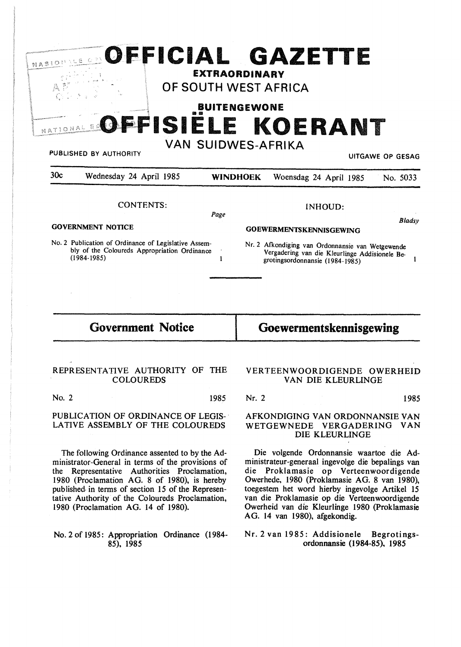|                 | OFFICIAL GAZETTE                                                                                                                                     | OF SOUTH WEST AFRICA                                                | <b>EXTRAORDINARY</b> |                 |                                                                                                                                                                         |         |                    |                                                               |
|-----------------|------------------------------------------------------------------------------------------------------------------------------------------------------|---------------------------------------------------------------------|----------------------|-----------------|-------------------------------------------------------------------------------------------------------------------------------------------------------------------------|---------|--------------------|---------------------------------------------------------------|
|                 | PUBLISHED BY AUTHORITY                                                                                                                               | FFISIELE KOERANT                                                    | <b>BUITENGEWONE</b>  |                 | <b>VAN SUIDWES-AFRIKA</b>                                                                                                                                               |         |                    | <b>UITGAWE OP GESAG</b>                                       |
| 30c             | Wednesday 24 April 1985                                                                                                                              |                                                                     |                      | <b>WINDHOEK</b> | Woensdag 24 April 1985                                                                                                                                                  |         |                    | No. 5033                                                      |
| $(1984 - 1985)$ | <b>CONTENTS:</b><br><b>GOVERNMENT NOTICE</b><br>No. 2 Publication of Ordinance of Legislative Assem-<br>bly of the Coloureds Appropriation Ordinance |                                                                     | Page<br>1            |                 | <b>GOEWERMENTSKENNISGEWING</b><br>Nr. 2 Afkondiging van Ordonnansie van Wetgewende<br>Vergadering van die Kleurlinge Addisionele Be-<br>grotingsordonnansie (1984-1985) | INHOUD: |                    | Bladsy                                                        |
|                 | <b>Government Notice</b>                                                                                                                             |                                                                     |                      |                 | Goewermentskennisgewing                                                                                                                                                 |         |                    |                                                               |
|                 | REPRESENTATIVE AUTHORITY OF THE<br><b>COLOUREDS</b>                                                                                                  |                                                                     |                      |                 |                                                                                                                                                                         |         | VAN DIE KLEURLINGE | VERTEENWOORDIGENDE OWERHEID                                   |
| No. 2           |                                                                                                                                                      |                                                                     | 1985                 | Nr. 2           |                                                                                                                                                                         |         |                    | 1985                                                          |
|                 | PUBLICATION OF ORDINANCE OF LEGIS-<br>LATIVE ASSEMBLY OF THE COLOUREDS                                                                               |                                                                     |                      |                 |                                                                                                                                                                         |         | DIE KLEURLINGE     | AFKONDIGING VAN ORDONNANSIE VAN<br>WETGEWNEDE VERGADERING VAN |
|                 |                                                                                                                                                      | Outlingues assembed to be the Ad Die volgande. Ordenisancie weapons |                      |                 |                                                                                                                                                                         |         |                    |                                                               |

The following Ordinance assented to by the Administrator-General in terms of the provisions of the Representative Authorities Proclamation, 1980 (Proclamation AG. 8 of 1980), is hereby published, in terms of section 15 of the Representative Authority of the Coloureds Proclamation, 1980 (Proclamation AG. 14 of 1980).

# No. 2 of 1985: Appropriation Ordinance (1984-85), 1985

Die volgende Ordonnansie waartoe die Administrateur-generaal ingevolge die bepalings van die Proklamasie op Verteenwoordigende Owerhede, 1980 (Proklamasie AG. 8 van 1980), toegestem het word hierby ingevolge Artikel 15 van die Proklamasie op die Verteenwoordigende Owerheid van die Kleurlinge 1980 (Proklamasie AG. 14 van 1980), afgekondig.

## Nr. 2 van 1985: Addisionele Begrotingsordonnansie (1984-85), 1985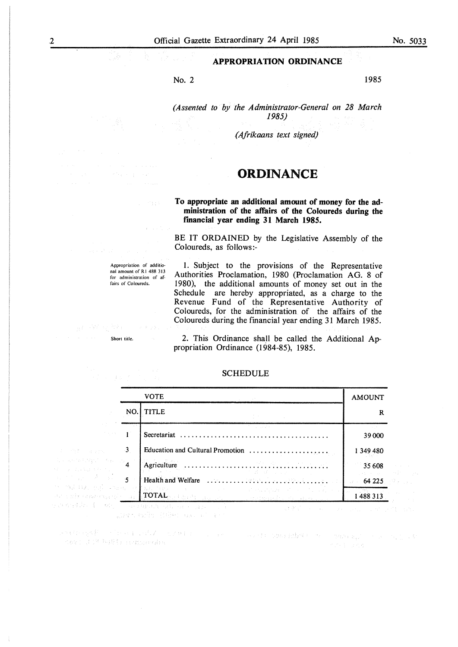No. 2 1985

*(Assented to by the Administrator-General on 28 March 1985)* 

*(Afrikaans text signed)* 

# **ORDINANCE**

### **To appropriate an additional amount of money for the administration of the affairs of the Coloureds during the rmancial year ending 31 March 1985.**

BE IT ORDAINED by the Legislative Assembly of the Coloureds, as follows:-

Appropriation of additional amount of R1 488 313 for administration of affairs of Coloureds.

and provide a start

!. Subject to the provisions of the Representative Authorities Proclamation, 1980 (Proclamation AG. 8 of 1980), the additional amounts of money set out in the Schedule are hereby appropriated, as a charge to the Revenue Fund of the Representative Authority of Coloureds, for the administration of the affairs of the Coloureds during the financial year ending 31 March 1985.

Short title.

 $\label{eq:1} \begin{aligned} \mathcal{C}(\mathbf{x}) = \mathcal{C}(\mathbf{x}_\mathbf{x}) \mathcal{E}(\mathbf{x}) \end{aligned}$ 

.<br>S

2. This Ordinance shall be called the Additional Appropriation Ordinance (1984-85), 1985.

| 经国际人员 每                                                |     | SCHEDULE                                                                                                                                                                                                                                 |               |
|--------------------------------------------------------|-----|------------------------------------------------------------------------------------------------------------------------------------------------------------------------------------------------------------------------------------------|---------------|
|                                                        |     | <b>VOTE</b>                                                                                                                                                                                                                              | <b>AMOUNT</b> |
|                                                        | NO. | <b>TITLE</b>                                                                                                                                                                                                                             | R             |
| The exposure                                           |     | <b>Committee Committee</b><br>Secretariat                                                                                                                                                                                                | 39 000        |
| $\overline{\phantom{a}}$ 3<br>bilin a shekar           |     | Education and Cultural Promotion $\ldots \ldots \ldots \ldots \ldots \ldots$                                                                                                                                                             | 1 349 480     |
| anggun kalupa <mark>4.</mark><br>Al<br>ang pelikul     |     | アンティー かいねん ぼうしょう アール・プレート                                                                                                                                                                                                                | 35 608        |
| $\omega \rightarrow \frac{1}{2}$ , where $\frac{1}{5}$ |     |                                                                                                                                                                                                                                          | 64225         |
|                                                        |     | BA 1912 - Park of Bachtes of a control of the state of the Park of the State<br>r desetori (f. $\max_{i=1}^n \max_{i=1}^n \mathcal{O}(\mathbf{M}_{\mathrm{eff}})$ ) and the set of $\max_{i=1}^n \mathcal{O}(\mathbf{M}_{\mathrm{eff}})$ | 1488 313      |
|                                                        |     | <sup>1</sup> And → Mission Hotel And All Reserve Sales Control Control Control Design Control Control Design                                                                                                                             |               |

SCHEDULE

particular for the Community of the case of the 人名法霍恩 网络雅兰 经船舶公司 建立 使人的

ik Patrick godine i Steven na stražnici.<br>Pokus se na razdava stavi stavi kao stavi se na se na se na stavi stavi podata podajelo sve na stavi stavi sta Keys ICR WRITERERING

No. 5033